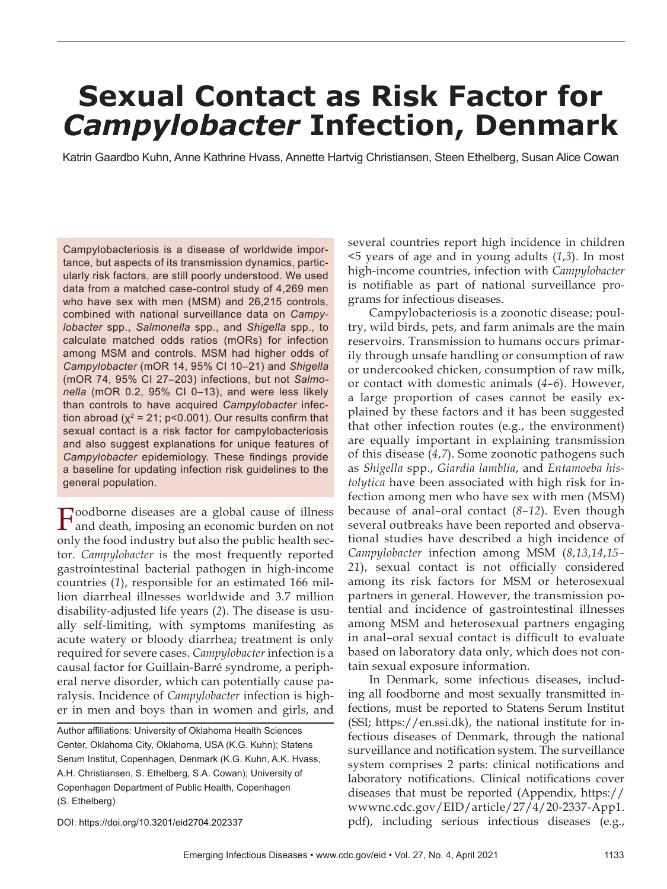# **Sexual Contact as Risk Factor for**  *Campylobacter* **Infection, Denmark**

Katrin Gaardbo Kuhn, Anne Kathrine Hvass, Annette Hartvig Christiansen, Steen Ethelberg, Susan Alice Cowan

Campylobacteriosis is a disease of worldwide importance, but aspects of its transmission dynamics, particularly risk factors, are still poorly understood. We used data from a matched case-control study of 4,269 men who have sex with men (MSM) and 26,215 controls, combined with national surveillance data on *Campylobacter* spp., *Salmonella* spp., and *Shigella* spp., to calculate matched odds ratios (mORs) for infection among MSM and controls. MSM had higher odds of *Campylobacter* (mOR 14, 95% CI 10–21) and *Shigella* (mOR 74, 95% CI 27–203) infections, but not *Salmonella* (mOR 0.2, 95% CI 0–13), and were less likely than controls to have acquired *Campylobacter* infection abroad ( $\chi^2$  = 21; p<0.001). Our results confirm that sexual contact is a risk factor for campylobacteriosis and also suggest explanations for unique features of Campylobacter epidemiology. These findings provide a baseline for updating infection risk guidelines to the general population.

Foodborne diseases are a global cause of illness and death, imposing an economic burden on not only the food industry but also the public health sector. *Campylobacter* is the most frequently reported gastrointestinal bacterial pathogen in high-income countries (*1*), responsible for an estimated 166 million diarrheal illnesses worldwide and 3.7 million disability-adjusted life years (*2*). The disease is usually self-limiting, with symptoms manifesting as acute watery or bloody diarrhea; treatment is only required for severe cases. *Campylobacter* infection is a causal factor for Guillain-Barré syndrome, a peripheral nerve disorder, which can potentially cause paralysis. Incidence of *Campylobacter* infection is higher in men and boys than in women and girls, and

Author affiliations: University of Oklahoma Health Sciences Center, Oklahoma City, Oklahoma, USA (K.G. Kuhn); Statens Serum Institut, Copenhagen, Denmark (K.G. Kuhn, A.K. Hvass, A.H. Christiansen, S. Ethelberg, S.A. Cowan); University of Copenhagen Department of Public Health, Copenhagen (S. Ethelberg)

DOI: https://doi.org/10.3201/eid2704.202337

several countries report high incidence in children <5 years of age and in young adults (*1*,*3*). In most high-income countries, infection with *Campylobacter* is notifiable as part of national surveillance programs for infectious diseases.

Campylobacteriosis is a zoonotic disease; poultry, wild birds, pets, and farm animals are the main reservoirs. Transmission to humans occurs primarily through unsafe handling or consumption of raw or undercooked chicken, consumption of raw milk, or contact with domestic animals (*4*–*6*). However, a large proportion of cases cannot be easily explained by these factors and it has been suggested that other infection routes (e.g., the environment) are equally important in explaining transmission of this disease (*4*,*7*). Some zoonotic pathogens such as *Shigella* spp., *Giardia lamblia*, and *Entamoeba histolytica* have been associated with high risk for infection among men who have sex with men (MSM) because of anal–oral contact (*8*–*12*). Even though several outbreaks have been reported and observational studies have described a high incidence of *Campylobacter* infection among MSM (*8*,*13*,*14*,*15–* 21), sexual contact is not officially considered among its risk factors for MSM or heterosexual partners in general. However, the transmission potential and incidence of gastrointestinal illnesses among MSM and heterosexual partners engaging in anal-oral sexual contact is difficult to evaluate based on laboratory data only, which does not contain sexual exposure information.

In Denmark, some infectious diseases, including all foodborne and most sexually transmitted infections, must be reported to Statens Serum Institut (SSI; https://en.ssi.dk), the national institute for infectious diseases of Denmark, through the national surveillance and notification system. The surveillance system comprises 2 parts: clinical notifications and laboratory notifications. Clinical notifications cover diseases that must be reported (Appendix, https:// wwwnc.cdc.gov/EID/article/27/4/20-2337-App1. pdf), including serious infectious diseases (e.g.,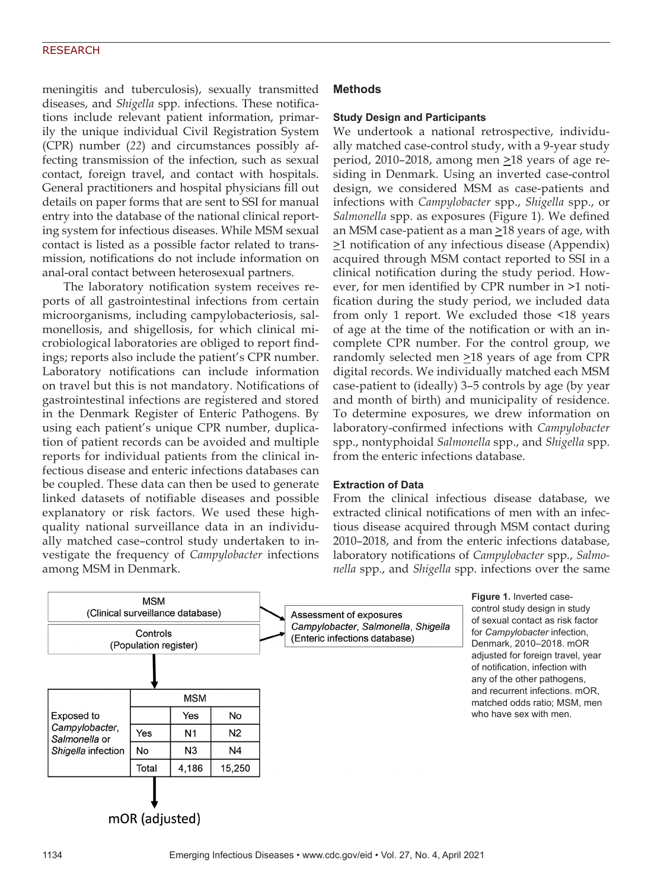#### RESEARCH

meningitis and tuberculosis), sexually transmitted diseases, and *Shigella* spp. infections. These notifications include relevant patient information, primarily the unique individual Civil Registration System (CPR) number (*22*) and circumstances possibly affecting transmission of the infection, such as sexual contact, foreign travel, and contact with hospitals. General practitioners and hospital physicians fill out details on paper forms that are sent to SSI for manual entry into the database of the national clinical reporting system for infectious diseases. While MSM sexual contact is listed as a possible factor related to transmission, notifications do not include information on anal-oral contact between heterosexual partners.

The laboratory notification system receives reports of all gastrointestinal infections from certain microorganisms, including campylobacteriosis, salmonellosis, and shigellosis, for which clinical microbiological laboratories are obliged to report findings; reports also include the patient's CPR number. Laboratory notifications can include information on travel but this is not mandatory. Notifications of gastrointestinal infections are registered and stored in the Denmark Register of Enteric Pathogens. By using each patient's unique CPR number, duplication of patient records can be avoided and multiple reports for individual patients from the clinical infectious disease and enteric infections databases can be coupled. These data can then be used to generate linked datasets of notifiable diseases and possible explanatory or risk factors. We used these highquality national surveillance data in an individually matched case–control study undertaken to investigate the frequency of *Campylobacter* infections among MSM in Denmark.

#### **Methods**

#### **Study Design and Participants**

We undertook a national retrospective, individually matched case-control study, with a 9-year study period, 2010–2018, among men  $\geq$ 18 years of age residing in Denmark. Using an inverted case-control design, we considered MSM as case-patients and infections with *Campylobacter* spp., *Shigella* spp., or *Salmonella* spp. as exposures (Figure 1). We defined an MSM case-patient as a man  $\geq$ 18 years of age, with >1 notification of any infectious disease (Appendix) acquired through MSM contact reported to SSI in a clinical notification during the study period. However, for men identified by CPR number in >1 notification during the study period, we included data from only 1 report. We excluded those <18 years of age at the time of the notification or with an incomplete CPR number. For the control group, we randomly selected men  $\geq 18$  years of age from CPR digital records. We individually matched each MSM case-patient to (ideally) 3–5 controls by age (by year and month of birth) and municipality of residence. To determine exposures, we drew information on laboratory-confirmed infections with *Campylobacter* spp., nontyphoidal *Salmonella* spp., and *Shigella* spp. from the enteric infections database.

#### **Extraction of Data**

From the clinical infectious disease database, we extracted clinical notifications of men with an infectious disease acquired through MSM contact during 2010–2018, and from the enteric infections database, laboratory notifications of *Campylobacter* spp., *Salmonella* spp., and *Shigella* spp. infections over the same



mOR (adjusted)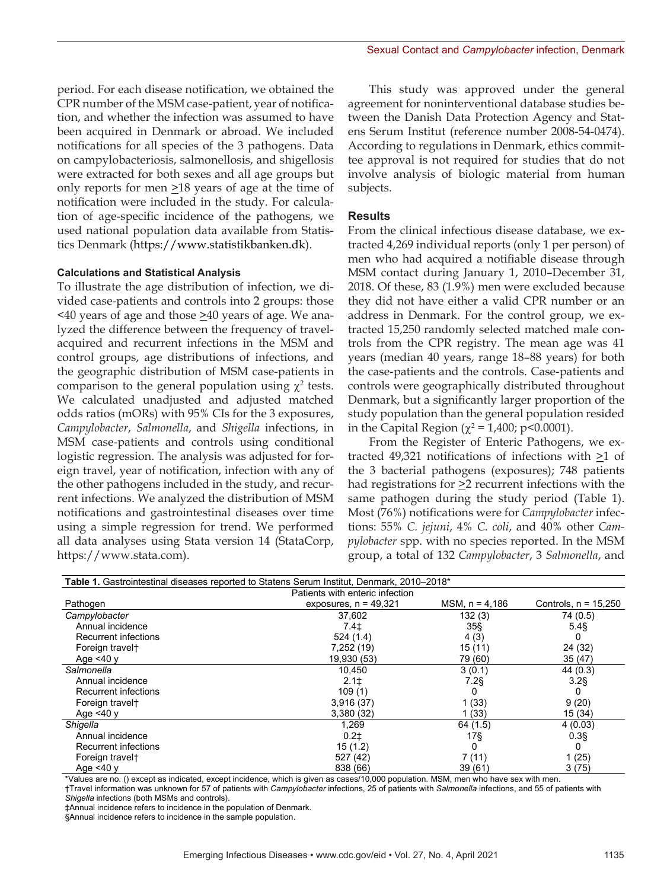period. For each disease notification, we obtained the CPR number of the MSM case-patient, year of notification, and whether the infection was assumed to have been acquired in Denmark or abroad. We included notifications for all species of the 3 pathogens. Data on campylobacteriosis, salmonellosis, and shigellosis were extracted for both sexes and all age groups but only reports for men  $\geq$ 18 years of age at the time of notification were included in the study. For calculation of age-specific incidence of the pathogens, we used national population data available from Statistics Denmark (https://www.statistikbanken.dk).

#### **Calculations and Statistical Analysis**

To illustrate the age distribution of infection, we divided case-patients and controls into 2 groups: those  $\leq$ 40 years of age and those  $\geq$ 40 years of age. We analyzed the difference between the frequency of travelacquired and recurrent infections in the MSM and control groups, age distributions of infections, and the geographic distribution of MSM case-patients in comparison to the general population using  $\chi^2$  tests. We calculated unadjusted and adjusted matched odds ratios (mORs) with 95% CIs for the 3 exposures, *Campylobacter*, *Salmonella*, and *Shigella* infections, in MSM case-patients and controls using conditional logistic regression. The analysis was adjusted for foreign travel, year of notification, infection with any of the other pathogens included in the study, and recurrent infections. We analyzed the distribution of MSM notifications and gastrointestinal diseases over time using a simple regression for trend. We performed all data analyses using Stata version 14 (StataCorp, https://www.stata.com).

This study was approved under the general agreement for noninterventional database studies between the Danish Data Protection Agency and Statens Serum Institut (reference number 2008-54-0474). According to regulations in Denmark, ethics committee approval is not required for studies that do not involve analysis of biologic material from human subjects.

### **Results**

From the clinical infectious disease database, we extracted 4,269 individual reports (only 1 per person) of men who had acquired a notifiable disease through MSM contact during January 1, 2010–December 31, 2018. Of these, 83 (1.9%) men were excluded because they did not have either a valid CPR number or an address in Denmark. For the control group, we extracted 15,250 randomly selected matched male controls from the CPR registry. The mean age was 41 years (median 40 years, range 18–88 years) for both the case-patients and the controls. Case-patients and controls were geographically distributed throughout Denmark, but a significantly larger proportion of the study population than the general population resided in the Capital Region ( $\chi^2$  = 1,400; p<0.0001).

From the Register of Enteric Pathogens, we extracted 49,321 notifications of infections with  $\geq 1$  of the 3 bacterial pathogens (exposures); 748 patients had registrations for  $\geq 2$  recurrent infections with the same pathogen during the study period (Table 1). Most (76%) notifications were for *Campylobacter* infections: 55% *C. jejuni*, 4% *C. coli*, and 40% other *Campylobacter* spp. with no species reported. In the MSM group, a total of 132 *Campylobacter*, 3 *Salmonella*, and

| Table 1. Gastrointestinal diseases reported to Statens Serum Institut, Denmark, 2010-2018* |                                 |                  |                        |  |  |
|--------------------------------------------------------------------------------------------|---------------------------------|------------------|------------------------|--|--|
|                                                                                            | Patients with enteric infection |                  |                        |  |  |
| Pathogen                                                                                   | exposures, $n = 49,321$         | $MSM. n = 4.186$ | Controls, $n = 15,250$ |  |  |
| Campylobacter                                                                              | 37.602                          | 132(3)           | 74 (0.5)               |  |  |
| Annual incidence                                                                           | 7.4‡                            | 35 <sub>2</sub>  | $5.4$ §                |  |  |
| <b>Recurrent infections</b>                                                                | 524(1.4)                        | 4(3)             | 0                      |  |  |
| Foreign travel <sup>+</sup>                                                                | 7,252 (19)                      | 15(11)           | 24 (32)                |  |  |
| Age $<$ 40 $\vee$                                                                          | 19,930 (53)                     | 79 (60)          | 35(47)                 |  |  |
| Salmonella                                                                                 | 10,450                          | 3(0.1)           | 44 (0.3)               |  |  |
| Annual incidence                                                                           | $2.1+$                          | $7.2$ §          | $3.2$ §                |  |  |
| <b>Recurrent infections</b>                                                                | 109(1)                          | 0                | 0                      |  |  |
| Foreign travel <sup>+</sup>                                                                | 3,916(37)                       | (33)             | 9(20)                  |  |  |
| Age $<$ 40 $\vee$                                                                          | 3,380(32)                       | (33)             | 15 (34)                |  |  |
| Shigella                                                                                   | 1.269                           | 64(1.5)          | 4(0.03)                |  |  |
| Annual incidence                                                                           | 0.21                            | 17 <sub>5</sub>  | $0.3$ \$               |  |  |
| <b>Recurrent infections</b>                                                                | 15(1.2)                         | 0                | 0                      |  |  |
| Foreign travel <sup>+</sup>                                                                | 527 (42)                        | 7(11)            | 1(25)                  |  |  |
| Age <40 y                                                                                  | 838 (66)                        | 39(61)           | 3(75)                  |  |  |

\*Values are no. () except as indicated, except incidence, which is given as cases/10,000 population. MSM, men who have sex with men.

†Travel information was unknown for 57 of patients with *Campylobacter* infections, 25 of patients with *Salmonella* infections, and 55 of patients with *Shigella* infections (both MSMs and controls).

‡Annual incidence refers to incidence in the population of Denmark.

§Annual incidence refers to incidence in the sample population.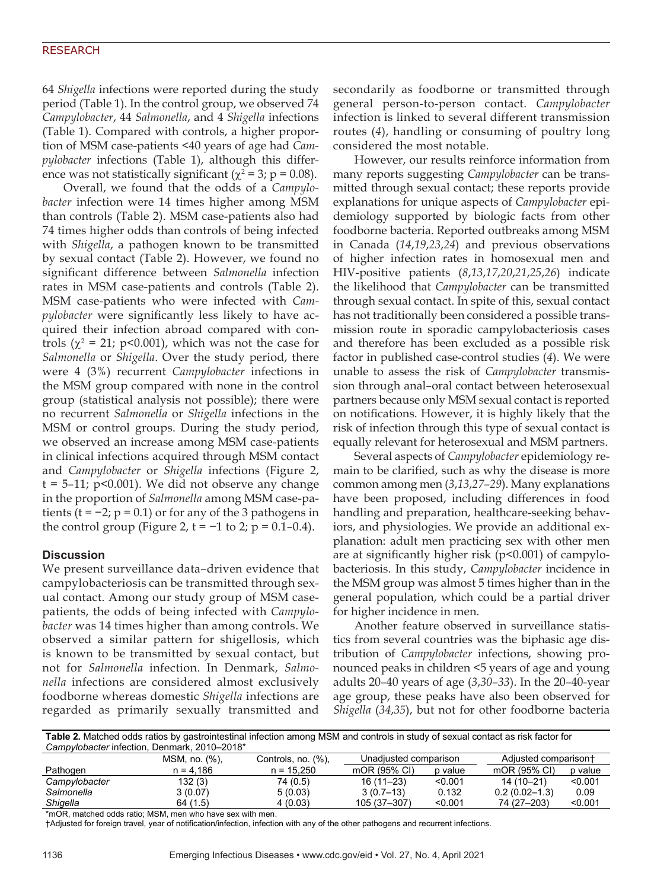64 *Shigella* infections were reported during the study period (Table 1). In the control group, we observed 74 *Campylobacter*, 44 *Salmonella*, and 4 *Shigella* infections (Table 1). Compared with controls, a higher proportion of MSM case-patients <40 years of age had *Campylobacter* infections (Table 1), although this difference was not statistically significant ( $\chi^2$  = 3; p = 0.08).

Overall, we found that the odds of a *Campylobacter* infection were 14 times higher among MSM than controls (Table 2). MSM case-patients also had 74 times higher odds than controls of being infected with *Shigella*, a pathogen known to be transmitted by sexual contact (Table 2). However, we found no significant difference between *Salmonella* infection rates in MSM case-patients and controls (Table 2). MSM case-patients who were infected with *Campylobacter* were significantly less likely to have acquired their infection abroad compared with controls ( $\chi^2$  = 21; p<0.001), which was not the case for *Salmonella* or *Shigella*. Over the study period, there were 4 (3%) recurrent *Campylobacter* infections in the MSM group compared with none in the control group (statistical analysis not possible); there were no recurrent *Salmonella* or *Shigella* infections in the MSM or control groups. During the study period, we observed an increase among MSM case-patients in clinical infections acquired through MSM contact and *Campylobacter* or *Shigella* infections (Figure 2, t = 5–11; p<0.001). We did not observe any change in the proportion of *Salmonella* among MSM case-patients (t =  $-2$ ; p = 0.1) or for any of the 3 pathogens in the control group (Figure 2, t =  $-1$  to 2; p = 0.1–0.4).

### **Discussion**

We present surveillance data–driven evidence that campylobacteriosis can be transmitted through sexual contact. Among our study group of MSM casepatients, the odds of being infected with *Campylobacter* was 14 times higher than among controls. We observed a similar pattern for shigellosis, which is known to be transmitted by sexual contact, but not for *Salmonella* infection. In Denmark, *Salmonella* infections are considered almost exclusively foodborne whereas domestic *Shigella* infections are regarded as primarily sexually transmitted and

secondarily as foodborne or transmitted through general person-to-person contact. *Campylobacter* infection is linked to several different transmission routes (*4*), handling or consuming of poultry long considered the most notable.

However, our results reinforce information from many reports suggesting *Campylobacter* can be transmitted through sexual contact; these reports provide explanations for unique aspects of *Campylobacter* epidemiology supported by biologic facts from other foodborne bacteria. Reported outbreaks among MSM in Canada (*14*,*19*,*23*,*24*) and previous observations of higher infection rates in homosexual men and HIV-positive patients (*8*,*13*,*17*,*20*,*21*,*25*,*26*) indicate the likelihood that *Campylobacter* can be transmitted through sexual contact. In spite of this, sexual contact has not traditionally been considered a possible transmission route in sporadic campylobacteriosis cases and therefore has been excluded as a possible risk factor in published case-control studies (*4*). We were unable to assess the risk of *Campylobacter* transmission through anal–oral contact between heterosexual partners because only MSM sexual contact is reported on notifications. However, it is highly likely that the risk of infection through this type of sexual contact is equally relevant for heterosexual and MSM partners.

Several aspects of *Campylobacter* epidemiology remain to be clarified, such as why the disease is more common among men (*3*,*13*,*27*–*29*). Many explanations have been proposed, including differences in food handling and preparation, healthcare-seeking behaviors, and physiologies. We provide an additional explanation: adult men practicing sex with other men are at significantly higher risk (p<0.001) of campylobacteriosis. In this study, *Campylobacter* incidence in the MSM group was almost 5 times higher than in the general population, which could be a partial driver for higher incidence in men.

Another feature observed in surveillance statistics from several countries was the biphasic age distribution of *Campylobacter* infections, showing pronounced peaks in children <5 years of age and young adults 20–40 years of age (*3*,*30*–*33*). In the 20–40-year age group, these peaks have also been observed for *Shigella* (*34*,*35*), but not for other foodborne bacteria

**Table 2.** Matched odds ratios by gastrointestinal infection among MSM and controls in study of sexual contact as risk factor for *Campylobacter* infection, Denmark, 2010–2018\*

|               | MSM, no. (%), | Controls, no. (%), | Unadiusted comparison |         | Adiusted comparisont |         |
|---------------|---------------|--------------------|-----------------------|---------|----------------------|---------|
| Pathogen      | n = 4.186     | $n = 15.250$       | mOR (95% CI)          | p value | mOR (95% CI)         | p value |
| Campylobacter | 132 (3)       | 74 (0.5)           | $16(11-23)$           | < 0.001 | $14(10-21)$          | < 0.001 |
| Salmonella    | 3 (0.07)      | 5(0.03)            | $3(0.7-13)$           | 0.132   | $0.2(0.02 - 1.3)$    | 0.09    |
| Shigella      | 64 (1.5)      | 4 (0.03)           | 105 (37-307)          | < 0.001 | 74 (27–203)          | < 0.001 |
|               |               |                    |                       |         |                      |         |

mOR, matched odds ratio; MSM, men who have sex with men.

†Adjusted for foreign travel, year of notification/infection, infection with any of the other pathogens and recurrent infections.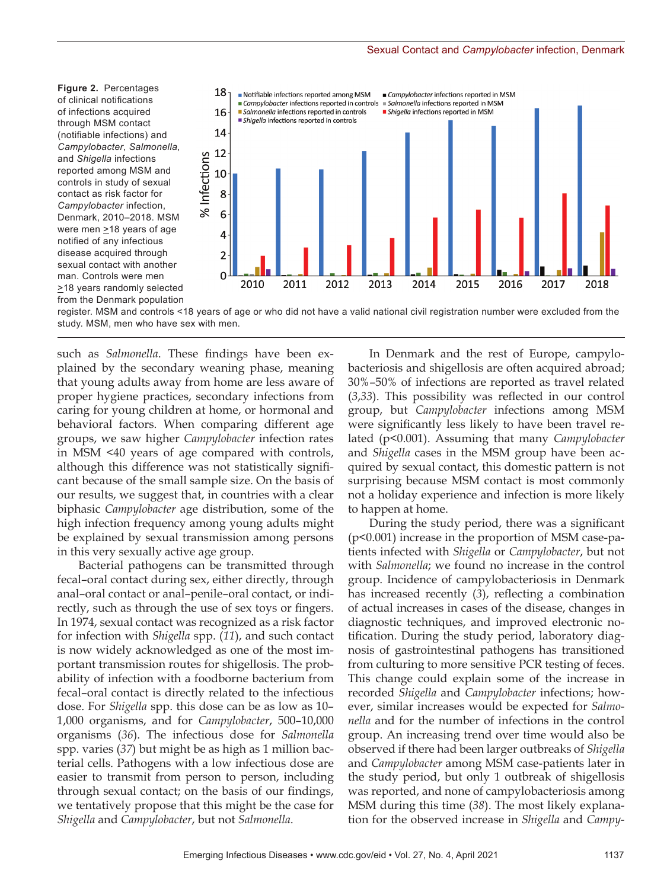**Figure 2.** Percentages of clinical notifications of infections acquired through MSM contact (notifiable infections) and *Campylobacter*, *Salmonella*, and *Shigella* infections reported among MSM and controls in study of sexual contact as risk factor for *Campylobacter* infection, Denmark, 2010–2018. MSM were men  $\geq$ 18 years of age notified of any infectious disease acquired through sexual contact with another man. Controls were men >18 years randomly selected from the Denmark population



register. MSM and controls <18 years of age or who did not have a valid national civil registration number were excluded from the study. MSM, men who have sex with men.

such as *Salmonella*. These findings have been explained by the secondary weaning phase, meaning that young adults away from home are less aware of proper hygiene practices, secondary infections from caring for young children at home, or hormonal and behavioral factors. When comparing different age groups, we saw higher *Campylobacter* infection rates in MSM <40 years of age compared with controls, although this difference was not statistically significant because of the small sample size. On the basis of our results, we suggest that, in countries with a clear biphasic *Campylobacter* age distribution, some of the high infection frequency among young adults might be explained by sexual transmission among persons in this very sexually active age group.

Bacterial pathogens can be transmitted through fecal–oral contact during sex, either directly, through anal–oral contact or anal–penile–oral contact, or indirectly, such as through the use of sex toys or fingers. In 1974, sexual contact was recognized as a risk factor for infection with *Shigella* spp. (*11*), and such contact is now widely acknowledged as one of the most important transmission routes for shigellosis. The probability of infection with a foodborne bacterium from fecal–oral contact is directly related to the infectious dose. For *Shigella* spp. this dose can be as low as 10– 1,000 organisms, and for *Campylobacter*, 500–10,000 organisms (*36*). The infectious dose for *Salmonella* spp. varies (*37*) but might be as high as 1 million bacterial cells. Pathogens with a low infectious dose are easier to transmit from person to person, including through sexual contact; on the basis of our findings, we tentatively propose that this might be the case for *Shigella* and *Campylobacter*, but not *Salmonella*.

In Denmark and the rest of Europe, campylobacteriosis and shigellosis are often acquired abroad; 30%–50% of infections are reported as travel related (*3*,*33*). This possibility was reflected in our control group, but *Campylobacter* infections among MSM were significantly less likely to have been travel related (p<0.001). Assuming that many *Campylobacter* and *Shigella* cases in the MSM group have been acquired by sexual contact, this domestic pattern is not surprising because MSM contact is most commonly not a holiday experience and infection is more likely to happen at home.

During the study period, there was a significant (p<0.001) increase in the proportion of MSM case-patients infected with *Shigella* or *Campylobacter*, but not with *Salmonella*; we found no increase in the control group. Incidence of campylobacteriosis in Denmark has increased recently (*3*), reflecting a combination of actual increases in cases of the disease, changes in diagnostic techniques, and improved electronic notification. During the study period, laboratory diagnosis of gastrointestinal pathogens has transitioned from culturing to more sensitive PCR testing of feces. This change could explain some of the increase in recorded *Shigella* and *Campylobacter* infections; however, similar increases would be expected for *Salmonella* and for the number of infections in the control group. An increasing trend over time would also be observed if there had been larger outbreaks of *Shigella* and *Campylobacter* among MSM case-patients later in the study period, but only 1 outbreak of shigellosis was reported, and none of campylobacteriosis among MSM during this time (*38*). The most likely explanation for the observed increase in *Shigella* and *Campy-*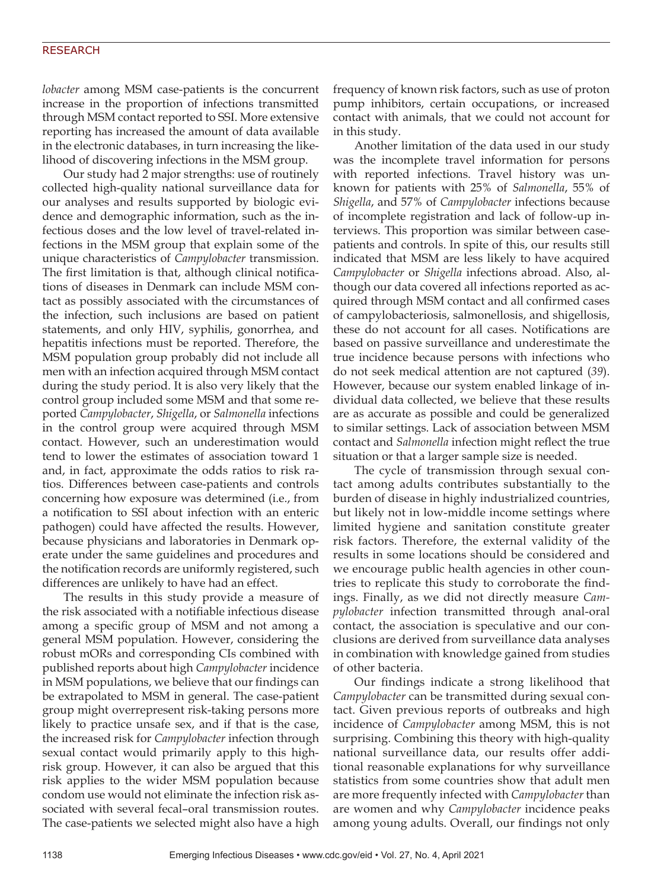#### RESEARCH

*lobacter* among MSM case-patients is the concurrent increase in the proportion of infections transmitted through MSM contact reported to SSI. More extensive reporting has increased the amount of data available in the electronic databases, in turn increasing the likelihood of discovering infections in the MSM group.

Our study had 2 major strengths: use of routinely collected high-quality national surveillance data for our analyses and results supported by biologic evidence and demographic information, such as the infectious doses and the low level of travel-related infections in the MSM group that explain some of the unique characteristics of *Campylobacter* transmission. The first limitation is that, although clinical notifications of diseases in Denmark can include MSM contact as possibly associated with the circumstances of the infection, such inclusions are based on patient statements, and only HIV, syphilis, gonorrhea, and hepatitis infections must be reported. Therefore, the MSM population group probably did not include all men with an infection acquired through MSM contact during the study period. It is also very likely that the control group included some MSM and that some reported *Campylobacter*, *Shigella*, or *Salmonella* infections in the control group were acquired through MSM contact. However, such an underestimation would tend to lower the estimates of association toward 1 and, in fact, approximate the odds ratios to risk ratios. Differences between case-patients and controls concerning how exposure was determined (i.e., from a notification to SSI about infection with an enteric pathogen) could have affected the results. However, because physicians and laboratories in Denmark operate under the same guidelines and procedures and the notification records are uniformly registered, such differences are unlikely to have had an effect.

The results in this study provide a measure of the risk associated with a notifiable infectious disease among a specific group of MSM and not among a general MSM population. However, considering the robust mORs and corresponding CIs combined with published reports about high *Campylobacter* incidence in MSM populations, we believe that our findings can be extrapolated to MSM in general. The case-patient group might overrepresent risk-taking persons more likely to practice unsafe sex, and if that is the case, the increased risk for *Campylobacter* infection through sexual contact would primarily apply to this highrisk group. However, it can also be argued that this risk applies to the wider MSM population because condom use would not eliminate the infection risk associated with several fecal–oral transmission routes. The case-patients we selected might also have a high

frequency of known risk factors, such as use of proton pump inhibitors, certain occupations, or increased contact with animals, that we could not account for in this study.

Another limitation of the data used in our study was the incomplete travel information for persons with reported infections. Travel history was unknown for patients with 25% of *Salmonella*, 55% of *Shigella*, and 57% of *Campylobacter* infections because of incomplete registration and lack of follow-up interviews. This proportion was similar between casepatients and controls. In spite of this, our results still indicated that MSM are less likely to have acquired *Campylobacter* or *Shigella* infections abroad. Also, although our data covered all infections reported as acquired through MSM contact and all confirmed cases of campylobacteriosis, salmonellosis, and shigellosis, these do not account for all cases. Notifications are based on passive surveillance and underestimate the true incidence because persons with infections who do not seek medical attention are not captured (*39*). However, because our system enabled linkage of individual data collected, we believe that these results are as accurate as possible and could be generalized to similar settings. Lack of association between MSM contact and *Salmonella* infection might reflect the true situation or that a larger sample size is needed.

The cycle of transmission through sexual contact among adults contributes substantially to the burden of disease in highly industrialized countries, but likely not in low-middle income settings where limited hygiene and sanitation constitute greater risk factors. Therefore, the external validity of the results in some locations should be considered and we encourage public health agencies in other countries to replicate this study to corroborate the findings. Finally, as we did not directly measure *Campylobacter* infection transmitted through anal-oral contact, the association is speculative and our conclusions are derived from surveillance data analyses in combination with knowledge gained from studies of other bacteria.

Our findings indicate a strong likelihood that *Campylobacter* can be transmitted during sexual contact. Given previous reports of outbreaks and high incidence of *Campylobacter* among MSM, this is not surprising. Combining this theory with high-quality national surveillance data, our results offer additional reasonable explanations for why surveillance statistics from some countries show that adult men are more frequently infected with *Campylobacter* than are women and why *Campylobacter* incidence peaks among young adults. Overall, our findings not only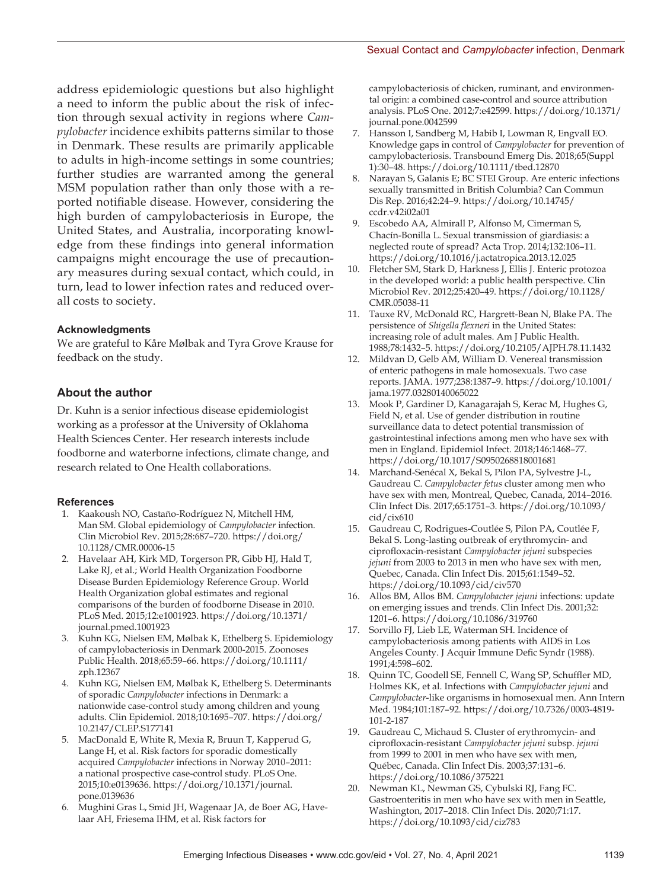address epidemiologic questions but also highlight a need to inform the public about the risk of infection through sexual activity in regions where *Campylobacter* incidence exhibits patterns similar to those in Denmark. These results are primarily applicable to adults in high-income settings in some countries; further studies are warranted among the general MSM population rather than only those with a reported notifiable disease. However, considering the high burden of campylobacteriosis in Europe, the United States, and Australia, incorporating knowledge from these findings into general information campaigns might encourage the use of precautionary measures during sexual contact, which could, in turn, lead to lower infection rates and reduced overall costs to society.

#### **Acknowledgments**

We are grateful to Kåre Mølbak and Tyra Grove Krause for feedback on the study.

#### **About the author**

Dr. Kuhn is a senior infectious disease epidemiologist working as a professor at the University of Oklahoma Health Sciences Center. Her research interests include foodborne and waterborne infections, climate change, and research related to One Health collaborations.

#### **References**

- 1. Kaakoush NO, Castaño-Rodríguez N, Mitchell HM, Man SM. Global epidemiology of *Campylobacter* infection. Clin Microbiol Rev. 2015;28:687–720. https://doi.org/ 10.1128/CMR.00006-15
- 2. Havelaar AH, Kirk MD, Torgerson PR, Gibb HJ, Hald T, Lake RJ, et al.; World Health Organization Foodborne Disease Burden Epidemiology Reference Group. World Health Organization global estimates and regional comparisons of the burden of foodborne Disease in 2010. PLoS Med. 2015;12:e1001923. https://doi.org/10.1371/ journal.pmed.1001923
- 3. Kuhn KG, Nielsen EM, Mølbak K, Ethelberg S. Epidemiology of campylobacteriosis in Denmark 2000-2015. Zoonoses Public Health. 2018;65:59–66. https://doi.org/10.1111/ zph.12367
- 4. Kuhn KG, Nielsen EM, Mølbak K, Ethelberg S. Determinants of sporadic *Campylobacter* infections in Denmark: a nationwide case-control study among children and young adults. Clin Epidemiol. 2018;10:1695–707. https://doi.org/ 10.2147/CLEP.S177141
- 5. MacDonald E, White R, Mexia R, Bruun T, Kapperud G, Lange H, et al. Risk factors for sporadic domestically acquired *Campylobacter* infections in Norway 2010–2011: a national prospective case-control study. PLoS One. 2015;10:e0139636. https://doi.org/10.1371/journal. pone.0139636
- 6. Mughini Gras L, Smid JH, Wagenaar JA, de Boer AG, Havelaar AH, Friesema IHM, et al. Risk factors for

campylobacteriosis of chicken, ruminant, and environmental origin: a combined case-control and source attribution analysis. PLoS One. 2012;7:e42599. https://doi.org/10.1371/ journal.pone.0042599

- Hansson I, Sandberg M, Habib I, Lowman R, Engvall EO. Knowledge gaps in control of *Campylobacter* for prevention of campylobacteriosis. Transbound Emerg Dis. 2018;65(Suppl 1):30–48. https://doi.org/10.1111/tbed.12870
- 8. Narayan S, Galanis E; BC STEI Group. Are enteric infections sexually transmitted in British Columbia? Can Commun Dis Rep. 2016;42:24–9. https://doi.org/10.14745/ ccdr.v42i02a01
- 9. Escobedo AA, Almirall P, Alfonso M, Cimerman S, Chacín-Bonilla L. Sexual transmission of giardiasis: a neglected route of spread? Acta Trop. 2014;132:106–11. https://doi.org/10.1016/j.actatropica.2013.12.025
- 10. Fletcher SM, Stark D, Harkness J, Ellis J. Enteric protozoa in the developed world: a public health perspective. Clin Microbiol Rev. 2012;25:420–49. https://doi.org/10.1128/ CMR.05038-11
- 11. Tauxe RV, McDonald RC, Hargrett-Bean N, Blake PA. The persistence of *Shigella flexneri* in the United States: increasing role of adult males. Am J Public Health. 1988;78:1432–5. https://doi.org/10.2105/AJPH.78.11.1432
- 12. Mildvan D, Gelb AM, William D. Venereal transmission of enteric pathogens in male homosexuals. Two case reports. JAMA. 1977;238:1387–9. https://doi.org/10.1001/ jama.1977.03280140065022
- 13. Mook P, Gardiner D, Kanagarajah S, Kerac M, Hughes G, Field N, et al. Use of gender distribution in routine surveillance data to detect potential transmission of gastrointestinal infections among men who have sex with men in England. Epidemiol Infect. 2018;146:1468–77. https://doi.org/10.1017/S0950268818001681
- 14. Marchand-Senécal X, Bekal S, Pilon PA, Sylvestre J-L, Gaudreau C. *Campylobacter fetus* cluster among men who have sex with men, Montreal, Quebec, Canada, 2014–2016. Clin Infect Dis. 2017;65:1751–3. https://doi.org/10.1093/ cid/cix610
- 15. Gaudreau C, Rodrigues-Coutlée S, Pilon PA, Coutlée F, Bekal S. Long-lasting outbreak of erythromycin- and ciprofloxacin-resistant *Campylobacter jejuni* subspecies *jejuni* from 2003 to 2013 in men who have sex with men, Quebec, Canada. Clin Infect Dis. 2015;61:1549–52. https://doi.org/10.1093/cid/civ570
- 16. Allos BM, Allos BM. *Campylobacter jejuni* infections: update on emerging issues and trends. Clin Infect Dis. 2001;32: 1201–6. https://doi.org/10.1086/319760
- 17. Sorvillo FJ, Lieb LE, Waterman SH. Incidence of campylobacteriosis among patients with AIDS in Los Angeles County. J Acquir Immune Defic Syndr (1988). 1991;4:598–602.
- 18. Quinn TC, Goodell SE, Fennell C, Wang SP, Schuffler MD, Holmes KK, et al. Infections with *Campylobacter jejuni* and *Campylobacter*-like organisms in homosexual men. Ann Intern Med. 1984;101:187–92. https://doi.org/10.7326/0003-4819- 101-2-187
- 19. Gaudreau C, Michaud S. Cluster of erythromycin- and ciprofloxacin-resistant *Campylobacter jejuni* subsp. *jejuni* from 1999 to 2001 in men who have sex with men, Québec, Canada. Clin Infect Dis. 2003;37:131–6. https://doi.org/10.1086/375221
- 20. Newman KL, Newman GS, Cybulski RJ, Fang FC. Gastroenteritis in men who have sex with men in Seattle, Washington, 2017–2018. Clin Infect Dis. 2020;71:17. https://doi.org/10.1093/cid/ciz783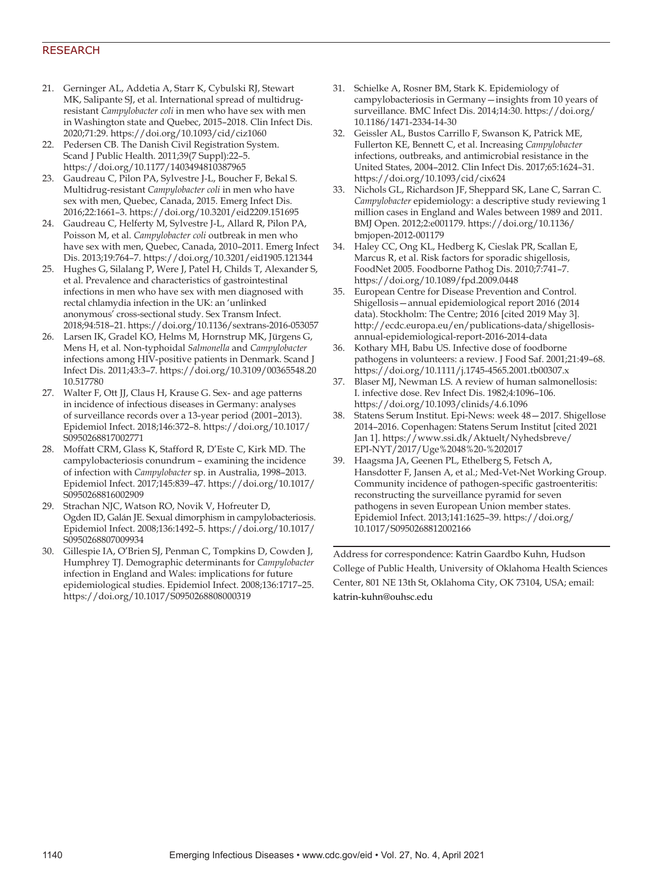## RESEARCH

- 21. Gerninger AL, Addetia A, Starr K, Cybulski RJ, Stewart MK, Salipante SJ, et al. International spread of multidrugresistant *Campylobacter coli* in men who have sex with men in Washington state and Quebec, 2015–2018. Clin Infect Dis. 2020;71:29. https://doi.org/10.1093/cid/ciz1060
- 22. Pedersen CB. The Danish Civil Registration System. Scand J Public Health. 2011;39(7 Suppl):22–5. https://doi.org/10.1177/1403494810387965
- 23. Gaudreau C, Pilon PA, Sylvestre J-L, Boucher F, Bekal S. Multidrug-resistant *Campylobacter coli* in men who have sex with men, Quebec, Canada, 2015. Emerg Infect Dis. 2016;22:1661–3. https://doi.org/10.3201/eid2209.151695
- 24. Gaudreau C, Helferty M, Sylvestre J-L, Allard R, Pilon PA, Poisson M, et al. *Campylobacter coli* outbreak in men who have sex with men, Quebec, Canada, 2010–2011. Emerg Infect Dis. 2013;19:764–7. https://doi.org/10.3201/eid1905.121344
- 25. Hughes G, Silalang P, Were J, Patel H, Childs T, Alexander S, et al. Prevalence and characteristics of gastrointestinal infections in men who have sex with men diagnosed with rectal chlamydia infection in the UK: an 'unlinked anonymous' cross-sectional study. Sex Transm Infect. 2018;94:518–21. https://doi.org/10.1136/sextrans-2016-053057
- 26. Larsen IK, Gradel KO, Helms M, Hornstrup MK, Jürgens G, Mens H, et al. Non-typhoidal *Salmonella* and *Campylobacter* infections among HIV-positive patients in Denmark. Scand J Infect Dis. 2011;43:3–7. https://doi.org/10.3109/00365548.20 10.517780
- 27. Walter F, Ott JJ, Claus H, Krause G. Sex- and age patterns in incidence of infectious diseases in Germany: analyses of surveillance records over a 13-year period (2001–2013). Epidemiol Infect. 2018;146:372–8. https://doi.org/10.1017/ S0950268817002771
- 28. Moffatt CRM, Glass K, Stafford R, D'Este C, Kirk MD. The campylobacteriosis conundrum – examining the incidence of infection with *Campylobacter* sp. in Australia, 1998–2013. Epidemiol Infect. 2017;145:839–47. https://doi.org/10.1017/ S0950268816002909
- 29. Strachan NJC, Watson RO, Novik V, Hofreuter D, Ogden ID, Galán JE. Sexual dimorphism in campylobacteriosis. Epidemiol Infect. 2008;136:1492–5. https://doi.org/10.1017/ S0950268807009934
- 30. Gillespie IA, O'Brien SJ, Penman C, Tompkins D, Cowden J, Humphrey TJ. Demographic determinants for *Campylobacter* infection in England and Wales: implications for future epidemiological studies. Epidemiol Infect. 2008;136:1717–25. https://doi.org/10.1017/S0950268808000319
- 31. Schielke A, Rosner BM, Stark K. Epidemiology of campylobacteriosis in Germany—insights from 10 years of surveillance. BMC Infect Dis. 2014;14:30. https://doi.org/ 10.1186/1471-2334-14-30
- 32. Geissler AL, Bustos Carrillo F, Swanson K, Patrick ME, Fullerton KE, Bennett C, et al. Increasing *Campylobacter* infections, outbreaks, and antimicrobial resistance in the United States, 2004–2012. Clin Infect Dis. 2017;65:1624–31. https://doi.org/10.1093/cid/cix624
- 33. Nichols GL, Richardson JF, Sheppard SK, Lane C, Sarran C. *Campylobacter* epidemiology: a descriptive study reviewing 1 million cases in England and Wales between 1989 and 2011. BMJ Open. 2012;2:e001179. https://doi.org/10.1136/ bmjopen-2012-001179
- 34. Haley CC, Ong KL, Hedberg K, Cieslak PR, Scallan E, Marcus R, et al. Risk factors for sporadic shigellosis, FoodNet 2005. Foodborne Pathog Dis. 2010;7:741–7. https://doi.org/10.1089/fpd.2009.0448
- 35. European Centre for Disease Prevention and Control. Shigellosis—annual epidemiological report 2016 (2014 data). Stockholm: The Centre; 2016 [cited 2019 May 3]. http://ecdc.europa.eu/en/publications-data/shigellosisannual-epidemiological-report-2016-2014-data
- 36. Kothary MH, Babu US. Infective dose of foodborne pathogens in volunteers: a review. J Food Saf. 2001;21:49–68. https://doi.org/10.1111/j.1745-4565.2001.tb00307.x
- 37. Blaser MJ, Newman LS. A review of human salmonellosis: I. infective dose. Rev Infect Dis. 1982;4:1096–106. https://doi.org/10.1093/clinids/4.6.1096
- 38. Statens Serum Institut. Epi-News: week 48—2017. Shigellose 2014–2016. Copenhagen: Statens Serum Institut [cited 2021 Jan 1]. https://www.ssi.dk/Aktuelt/Nyhedsbreve/ EPI-NYT/2017/Uge%2048%20-%202017
- 39. Haagsma JA, Geenen PL, Ethelberg S, Fetsch A, Hansdotter F, Jansen A, et al.; Med-Vet-Net Working Group. Community incidence of pathogen-specific gastroenteritis: reconstructing the surveillance pyramid for seven pathogens in seven European Union member states. Epidemiol Infect. 2013;141:1625–39. https://doi.org/ 10.1017/S0950268812002166

Address for correspondence: Katrin Gaardbo Kuhn, Hudson College of Public Health, University of Oklahoma Health Sciences Center, 801 NE 13th St, Oklahoma City, OK 73104, USA; email: katrin-kuhn@ouhsc.edu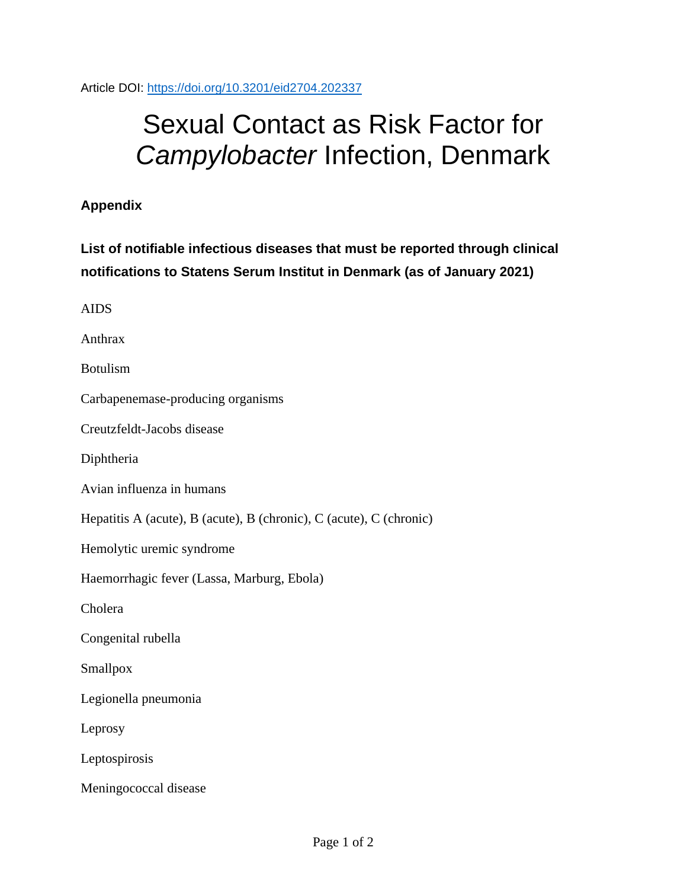Article DOI:<https://doi.org/10.3201/eid2704.202337>

# Sexual Contact as Risk Factor for *Campylobacter* Infection, Denmark

# **Appendix**

**List of notifiable infectious diseases that must be reported through clinical notifications to Statens Serum Institut in Denmark (as of January 2021)**

AIDS Anthrax Botulism Carbapenemase-producing organisms Creutzfeldt-Jacobs disease Diphtheria Avian influenza in humans Hepatitis A (acute), B (acute), B (chronic), C (acute), C (chronic) Hemolytic uremic syndrome Haemorrhagic fever (Lassa, Marburg, Ebola) Cholera Congenital rubella Smallpox Legionella pneumonia Leprosy Leptospirosis Meningococcal disease